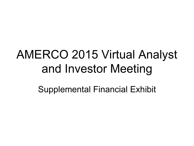# AMERCO 2015 Virtual Analyst and Investor Meeting

Supplemental Financial Exhibit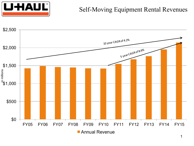

#### Self-Moving Equipment Rental Revenues

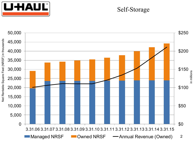

#### Self-Storage

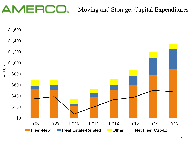### Moving and Storage: Capital Expenditures

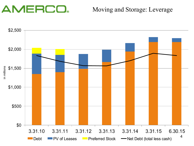#### Moving and Storage: Leverage

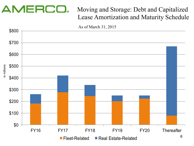### Moving and Storage: Debt and Capitalized Lease Amortization and Maturity Schedule

As of March 31, 2015